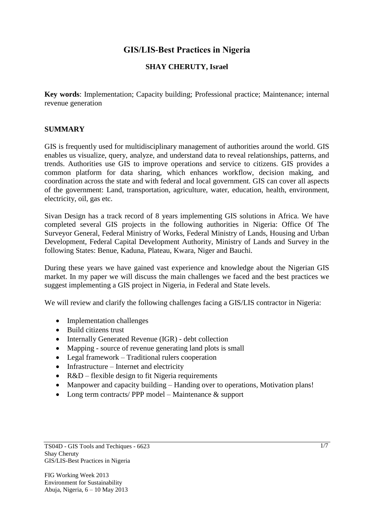## **GIS/LIS-Best Practices in Nigeria**

### **SHAY CHERUTY, Israel**

**Key words**: Implementation; Capacity building; Professional practice; Maintenance; internal revenue generation

### **SUMMARY**

GIS is frequently used for multidisciplinary management of authorities around the world. GIS enables us visualize, query, analyze, and understand data to reveal relationships, patterns, and trends. Authorities use GIS to improve operations and service to citizens. GIS provides a common platform for data sharing, which enhances workflow, decision making, and coordination across the state and with federal and local government. GIS can cover all aspects of the government: Land, transportation, agriculture, water, education, health, environment, electricity, oil, gas etc.

Sivan Design has a track record of 8 years implementing GIS solutions in Africa. We have completed several GIS projects in the following authorities in Nigeria: Office Of The Surveyor General, Federal Ministry of Works, Federal Ministry of Lands, Housing and Urban Development, Federal Capital Development Authority, Ministry of Lands and Survey in the following States: Benue, Kaduna, Plateau, Kwara, Niger and Bauchi.

During these years we have gained vast experience and knowledge about the Nigerian GIS market. In my paper we will discuss the main challenges we faced and the best practices we suggest implementing a GIS project in Nigeria, in Federal and State levels.

We will review and clarify the following challenges facing a GIS/LIS contractor in Nigeria:

- Implementation challenges
- Build citizens trust
- Internally Generated Revenue (IGR) debt collection
- Mapping source of revenue generating land plots is small
- Legal framework Traditional rulers cooperation
- Infrastructure Internet and electricity
- R&D flexible design to fit Nigeria requirements
- Manpower and capacity building Handing over to operations, Motivation plans!
- Long term contracts/ PPP model Maintenance & support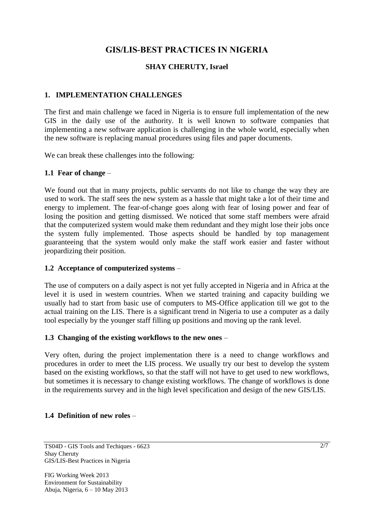# **GIS/LIS-BEST PRACTICES IN NIGERIA**

### **SHAY CHERUTY, Israel**

## **1. IMPLEMENTATION CHALLENGES**

The first and main challenge we faced in Nigeria is to ensure full implementation of the new GIS in the daily use of the authority. It is well known to software companies that implementing a new software application is challenging in the whole world, especially when the new software is replacing manual procedures using files and paper documents.

We can break these challenges into the following:

### **1.1 Fear of change** –

We found out that in many projects, public servants do not like to change the way they are used to work. The staff sees the new system as a hassle that might take a lot of their time and energy to implement. The fear-of-change goes along with fear of losing power and fear of losing the position and getting dismissed. We noticed that some staff members were afraid that the computerized system would make them redundant and they might lose their jobs once the system fully implemented. Those aspects should be handled by top management guaranteeing that the system would only make the staff work easier and faster without jeopardizing their position.

### **1.2 Acceptance of computerized systems** –

The use of computers on a daily aspect is not yet fully accepted in Nigeria and in Africa at the level it is used in western countries. When we started training and capacity building we usually had to start from basic use of computers to MS-Office application till we got to the actual training on the LIS. There is a significant trend in Nigeria to use a computer as a daily tool especially by the younger staff filling up positions and moving up the rank level.

### **1.3 Changing of the existing workflows to the new ones** –

Very often, during the project implementation there is a need to change workflows and procedures in order to meet the LIS process. We usually try our best to develop the system based on the existing workflows, so that the staff will not have to get used to new workflows, but sometimes it is necessary to change existing workflows. The change of workflows is done in the requirements survey and in the high level specification and design of the new GIS/LIS.

### **1.4 Definition of new roles** –

FIG Working Week 2013 Environment for Sustainability Abuja, Nigeria, 6 – 10 May 2013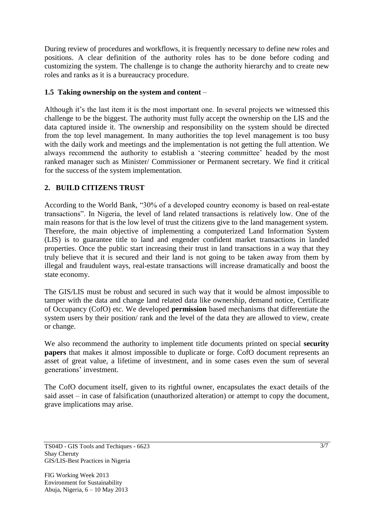During review of procedures and workflows, it is frequently necessary to define new roles and positions. A clear definition of the authority roles has to be done before coding and customizing the system. The challenge is to change the authority hierarchy and to create new roles and ranks as it is a bureaucracy procedure.

## **1.5 Taking ownership on the system and content** –

Although it's the last item it is the most important one. In several projects we witnessed this challenge to be the biggest. The authority must fully accept the ownership on the LIS and the data captured inside it. The ownership and responsibility on the system should be directed from the top level management. In many authorities the top level management is too busy with the daily work and meetings and the implementation is not getting the full attention. We always recommend the authority to establish a "steering committee" headed by the most ranked manager such as Minister/ Commissioner or Permanent secretary. We find it critical for the success of the system implementation.

### **2. BUILD CITIZENS TRUST**

According to the World Bank, "30% of a developed country economy is based on real-estate transactions". In Nigeria, the level of land related transactions is relatively low. One of the main reasons for that is the low level of trust the citizens give to the land management system. Therefore, the main objective of implementing a computerized Land Information System (LIS) is to guarantee title to land and engender confident market transactions in landed properties. Once the public start increasing their trust in land transactions in a way that they truly believe that it is secured and their land is not going to be taken away from them by illegal and fraudulent ways, real-estate transactions will increase dramatically and boost the state economy.

The GIS/LIS must be robust and secured in such way that it would be almost impossible to tamper with the data and change land related data like ownership, demand notice, Certificate of Occupancy (CofO) etc. We developed **permission** based mechanisms that differentiate the system users by their position/ rank and the level of the data they are allowed to view, create or change.

We also recommend the authority to implement title documents printed on special **security papers** that makes it almost impossible to duplicate or forge. CofO document represents an asset of great value, a lifetime of investment, and in some cases even the sum of several generations' investment.

The CofO document itself, given to its rightful owner, encapsulates the exact details of the said asset – in case of falsification (unauthorized alteration) or attempt to copy the document, grave implications may arise.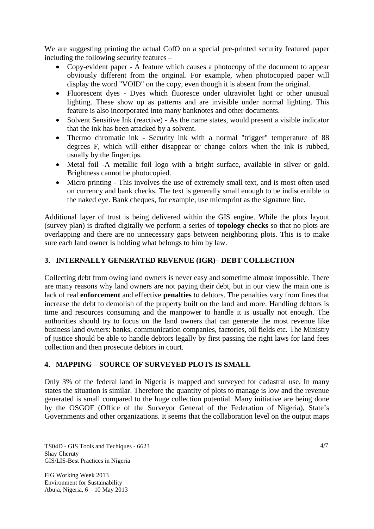We are suggesting printing the actual CofO on a special pre-printed security featured paper including the following security features –

- Copy-evident paper A feature which causes a photocopy of the document to appear obviously different from the original. For example, when photocopied paper will display the word "VOID" on the copy, even though it is absent from the original.
- Fluorescent dyes Dyes which fluoresce under ultraviolet light or other unusual lighting. These show up as patterns and are invisible under normal lighting. This feature is also incorporated into many banknotes and other documents.
- Solvent Sensitive Ink (reactive) As the name states, would present a visible indicator that the ink has been attacked by a solvent.
- Thermo chromatic ink Security ink with a normal "trigger" temperature of 88 degrees F, which will either disappear or change colors when the ink is rubbed, usually by the fingertips.
- Metal foil -A metallic foil logo with a bright surface, available in silver or gold. Brightness cannot be photocopied.
- Micro printing This involves the use of extremely small text, and is most often used on currency and bank checks. The text is generally small enough to be indiscernible to the naked eye. Bank cheques, for example, use microprint as the signature line.

Additional layer of trust is being delivered within the GIS engine. While the plots layout (survey plan) is drafted digitally we perform a series of **topology checks** so that no plots are overlapping and there are no unnecessary gaps between neighboring plots. This is to make sure each land owner is holding what belongs to him by law.

## **3. INTERNALLY GENERATED REVENUE (IGR)– DEBT COLLECTION**

Collecting debt from owing land owners is never easy and sometime almost impossible. There are many reasons why land owners are not paying their debt, but in our view the main one is lack of real **enforcement** and effective **penalties** to debtors. The penalties vary from fines that increase the debt to demolish of the property built on the land and more. Handling debtors is time and resources consuming and the manpower to handle it is usually not enough. The authorities should try to focus on the land owners that can generate the most revenue like business land owners: banks, communication companies, factories, oil fields etc. The Ministry of justice should be able to handle debtors legally by first passing the right laws for land fees collection and then prosecute debtors in court.

## **4. MAPPING – SOURCE OF SURVEYED PLOTS IS SMALL**

Only 3% of the federal land in Nigeria is mapped and surveyed for cadastral use. In many states the situation is similar. Therefore the quantity of plots to manage is low and the revenue generated is small compared to the huge collection potential. Many initiative are being done by the OSGOF (Office of the Surveyor General of the Federation of Nigeria), State"s Governments and other organizations. It seems that the collaboration level on the output maps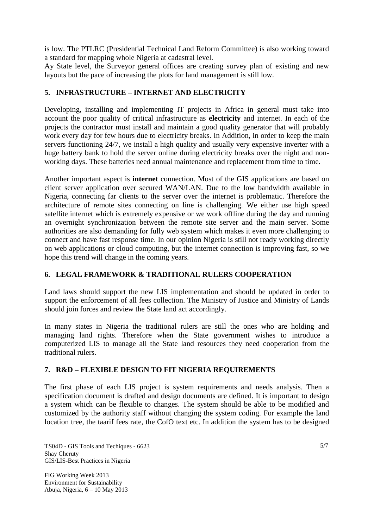is low. The PTLRC (Presidential Technical Land Reform Committee) is also working toward a standard for mapping whole Nigeria at cadastral level.

Ay State level, the Surveyor general offices are creating survey plan of existing and new layouts but the pace of increasing the plots for land management is still low.

## **5. INFRASTRUCTURE – INTERNET AND ELECTRICITY**

Developing, installing and implementing IT projects in Africa in general must take into account the poor quality of critical infrastructure as **electricity** and internet. In each of the projects the contractor must install and maintain a good quality generator that will probably work every day for few hours due to electricity breaks. In Addition, in order to keep the main servers functioning 24/7, we install a high quality and usually very expensive inverter with a huge battery bank to hold the server online during electricity breaks over the night and nonworking days. These batteries need annual maintenance and replacement from time to time.

Another important aspect is **internet** connection. Most of the GIS applications are based on client server application over secured WAN/LAN. Due to the low bandwidth available in Nigeria, connecting far clients to the server over the internet is problematic. Therefore the architecture of remote sites connecting on line is challenging. We either use high speed satellite internet which is extremely expensive or we work offline during the day and running an overnight synchronization between the remote site server and the main server. Some authorities are also demanding for fully web system which makes it even more challenging to connect and have fast response time. In our opinion Nigeria is still not ready working directly on web applications or cloud computing, but the internet connection is improving fast, so we hope this trend will change in the coming years.

### **6. LEGAL FRAMEWORK & TRADITIONAL RULERS COOPERATION**

Land laws should support the new LIS implementation and should be updated in order to support the enforcement of all fees collection. The Ministry of Justice and Ministry of Lands should join forces and review the State land act accordingly.

In many states in Nigeria the traditional rulers are still the ones who are holding and managing land rights. Therefore when the State government wishes to introduce a computerized LIS to manage all the State land resources they need cooperation from the traditional rulers.

## **7. R&D – FLEXIBLE DESIGN TO FIT NIGERIA REQUIREMENTS**

The first phase of each LIS project is system requirements and needs analysis. Then a specification document is drafted and design documents are defined. It is important to design a system which can be flexible to changes. The system should be able to be modified and customized by the authority staff without changing the system coding. For example the land location tree, the taarif fees rate, the CofO text etc. In addition the system has to be designed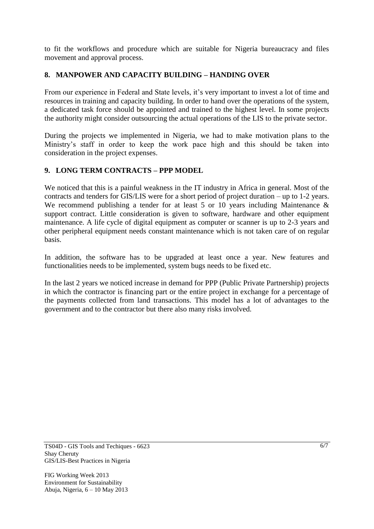to fit the workflows and procedure which are suitable for Nigeria bureaucracy and files movement and approval process.

## **8. MANPOWER AND CAPACITY BUILDING – HANDING OVER**

From our experience in Federal and State levels, it's very important to invest a lot of time and resources in training and capacity building. In order to hand over the operations of the system, a dedicated task force should be appointed and trained to the highest level. In some projects the authority might consider outsourcing the actual operations of the LIS to the private sector.

During the projects we implemented in Nigeria, we had to make motivation plans to the Ministry"s staff in order to keep the work pace high and this should be taken into consideration in the project expenses.

## **9. LONG TERM CONTRACTS – PPP MODEL**

We noticed that this is a painful weakness in the IT industry in Africa in general. Most of the contracts and tenders for GIS/LIS were for a short period of project duration – up to 1-2 years. We recommend publishing a tender for at least 5 or 10 years including Maintenance  $\&$ support contract. Little consideration is given to software, hardware and other equipment maintenance. A life cycle of digital equipment as computer or scanner is up to 2-3 years and other peripheral equipment needs constant maintenance which is not taken care of on regular basis.

In addition, the software has to be upgraded at least once a year. New features and functionalities needs to be implemented, system bugs needs to be fixed etc.

In the last 2 years we noticed increase in demand for PPP (Public Private Partnership) projects in which the contractor is financing part or the entire project in exchange for a percentage of the payments collected from land transactions. This model has a lot of advantages to the government and to the contractor but there also many risks involved.